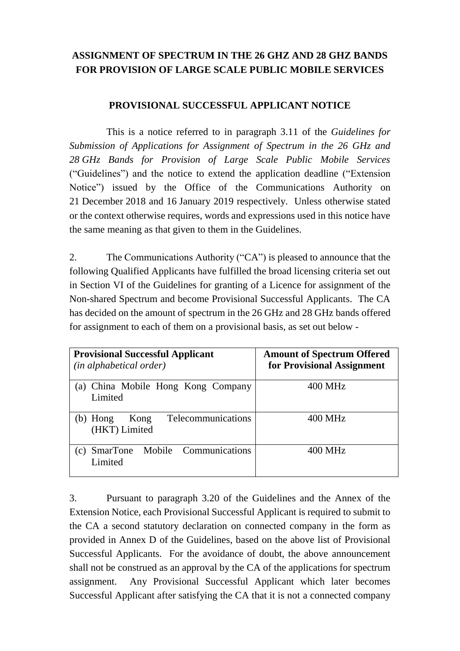## **ASSIGNMENT OF SPECTRUM IN THE 26 GHZ AND 28 GHZ BANDS FOR PROVISION OF LARGE SCALE PUBLIC MOBILE SERVICES**

## **PROVISIONAL SUCCESSFUL APPLICANT NOTICE**

This is a notice referred to in paragraph 3.11 of the *Guidelines for Submission of Applications for Assignment of Spectrum in the 26 GHz and 28 GHz Bands for Provision of Large Scale Public Mobile Services*  ("Guidelines") and the notice to extend the application deadline ("Extension Notice") issued by the Office of the Communications Authority on 21 December 2018 and 16 January 2019 respectively. Unless otherwise stated or the context otherwise requires, words and expressions used in this notice have the same meaning as that given to them in the Guidelines.

2. The Communications Authority ("CA") is pleased to announce that the following Qualified Applicants have fulfilled the broad licensing criteria set out in Section VI of the Guidelines for granting of a Licence for assignment of the Non-shared Spectrum and become Provisional Successful Applicants. The CA has decided on the amount of spectrum in the 26 GHz and 28 GHz bands offered for assignment to each of them on a provisional basis, as set out below -

| <b>Provisional Successful Applicant</b><br><i>(in alphabetical order)</i> | <b>Amount of Spectrum Offered</b><br>for Provisional Assignment |
|---------------------------------------------------------------------------|-----------------------------------------------------------------|
| (a) China Mobile Hong Kong Company<br>Limited                             | 400 MHz                                                         |
| Telecommunications<br>Kong<br>$(b)$ Hong<br>(HKT) Limited                 | 400 MHz                                                         |
| Mobile Communications<br>$(c)$ SmarTone<br>Limited                        | 400 MHz                                                         |

3. Pursuant to paragraph 3.20 of the Guidelines and the Annex of the Extension Notice, each Provisional Successful Applicant is required to submit to the CA a second statutory declaration on connected company in the form as provided in Annex D of the Guidelines, based on the above list of Provisional Successful Applicants. For the avoidance of doubt, the above announcement shall not be construed as an approval by the CA of the applications for spectrum assignment. Any Provisional Successful Applicant which later becomes Successful Applicant after satisfying the CA that it is not a connected company